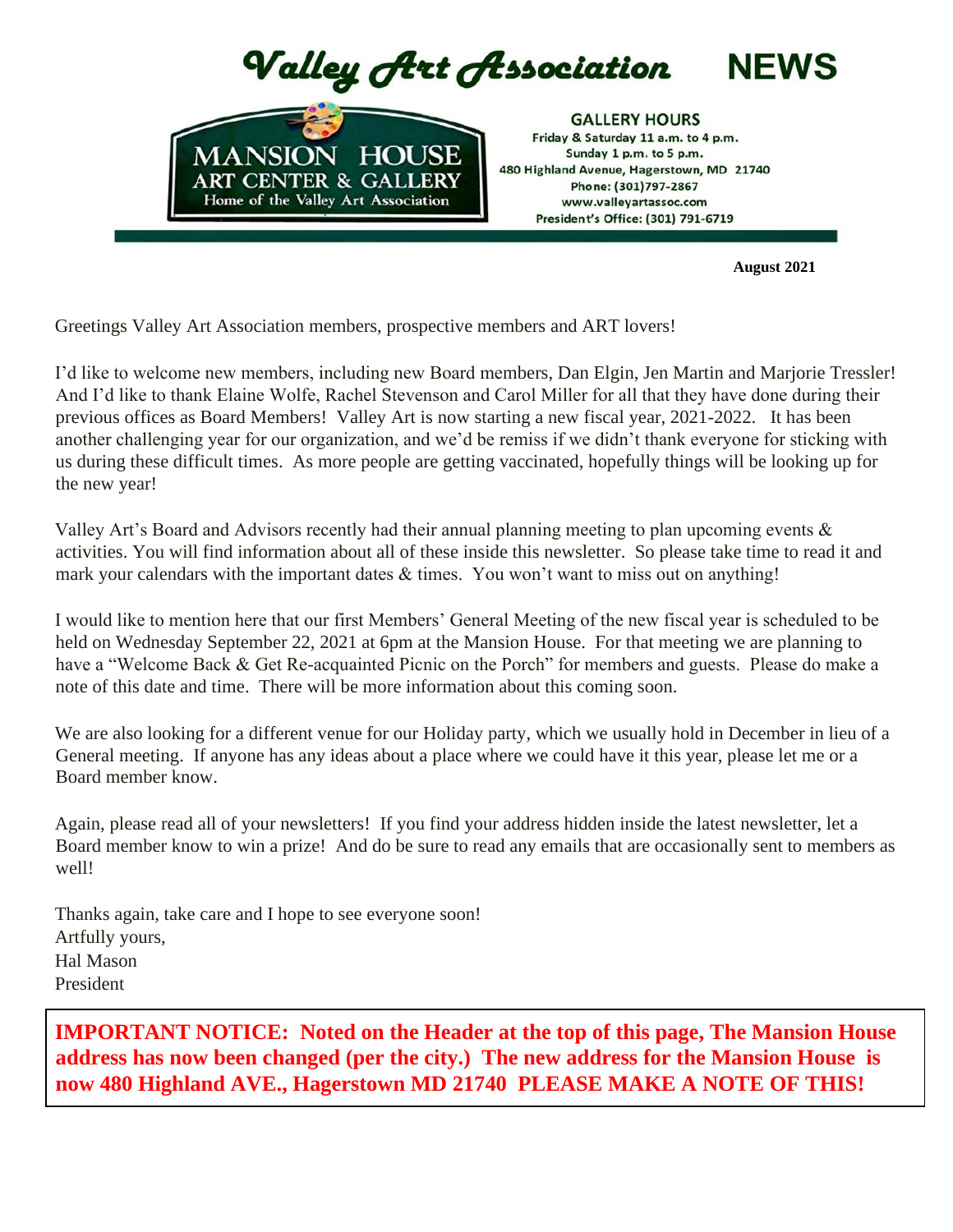

 **August 2021**

Greetings Valley Art Association members, prospective members and ART lovers!

I'd like to welcome new members, including new Board members, Dan Elgin, Jen Martin and Marjorie Tressler! And I'd like to thank Elaine Wolfe, Rachel Stevenson and Carol Miller for all that they have done during their previous offices as Board Members! Valley Art is now starting a new fiscal year, 2021-2022. It has been another challenging year for our organization, and we'd be remiss if we didn't thank everyone for sticking with us during these difficult times. As more people are getting vaccinated, hopefully things will be looking up for the new year!

Valley Art's Board and Advisors recently had their annual planning meeting to plan upcoming events & activities. You will find information about all of these inside this newsletter. So please take time to read it and mark your calendars with the important dates  $\&$  times. You won't want to miss out on anything!

I would like to mention here that our first Members' General Meeting of the new fiscal year is scheduled to be held on Wednesday September 22, 2021 at 6pm at the Mansion House. For that meeting we are planning to have a "Welcome Back & Get Re-acquainted Picnic on the Porch" for members and guests. Please do make a note of this date and time. There will be more information about this coming soon.

We are also looking for a different venue for our Holiday party, which we usually hold in December in lieu of a General meeting. If anyone has any ideas about a place where we could have it this year, please let me or a Board member know.

Again, please read all of your newsletters! If you find your address hidden inside the latest newsletter, let a Board member know to win a prize! And do be sure to read any emails that are occasionally sent to members as well!

Thanks again, take care and I hope to see everyone soon! Artfully yours, Hal Mason President

**IMPORTANT NOTICE: Noted on the Header at the top of this page, The Mansion House address has now been changed (per the city.) The new address for the Mansion House is now 480 Highland AVE., Hagerstown MD 21740 PLEASE MAKE A NOTE OF THIS!**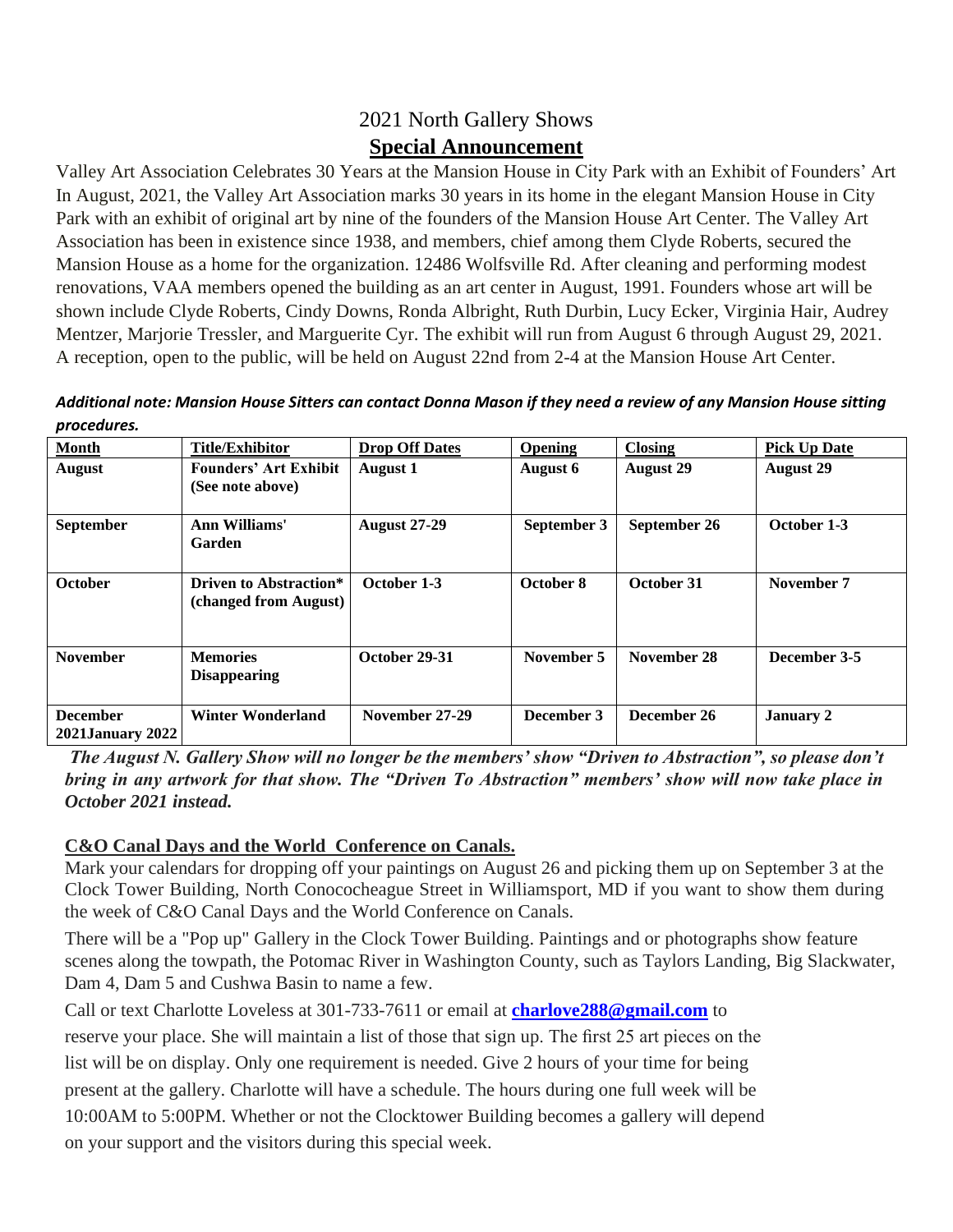# 2021 North Gallery Shows **Special Announcement**

Valley Art Association Celebrates 30 Years at the Mansion House in City Park with an Exhibit of Founders' Art In August, 2021, the Valley Art Association marks 30 years in its home in the elegant Mansion House in City Park with an exhibit of original art by nine of the founders of the Mansion House Art Center. The Valley Art Association has been in existence since 1938, and members, chief among them Clyde Roberts, secured the Mansion House as a home for the organization. 12486 Wolfsville Rd. After cleaning and performing modest renovations, VAA members opened the building as an art center in August, 1991. Founders whose art will be shown include Clyde Roberts, Cindy Downs, Ronda Albright, Ruth Durbin, Lucy Ecker, Virginia Hair, Audrey Mentzer, Marjorie Tressler, and Marguerite Cyr. The exhibit will run from August 6 through August 29, 2021. A reception, open to the public, will be held on August 22nd from 2-4 at the Mansion House Art Center.

*Additional note: Mansion House Sitters can contact Donna Mason if they need a review of any Mansion House sitting procedures.*

| <b>Month</b>                               | <b>Title/Exhibitor</b>                          | <b>Drop Off Dates</b> | <b>Opening</b> | <b>Closing</b>   | <b>Pick Up Date</b> |
|--------------------------------------------|-------------------------------------------------|-----------------------|----------------|------------------|---------------------|
| <b>August</b>                              | <b>Founders' Art Exhibit</b>                    | <b>August 1</b>       | August 6       | <b>August 29</b> | <b>August 29</b>    |
|                                            | (See note above)                                |                       |                |                  |                     |
|                                            |                                                 |                       |                |                  |                     |
| September                                  | Ann Williams'<br>Garden                         | <b>August 27-29</b>   | September 3    | September 26     | October 1-3         |
| <b>October</b>                             | Driven to Abstraction*<br>(changed from August) | October 1-3           | October 8      | October 31       | November 7          |
| <b>November</b>                            | <b>Memories</b><br><b>Disappearing</b>          | October 29-31         | November 5     | November 28      | December 3-5        |
| <b>December</b><br><b>2021January 2022</b> | <b>Winter Wonderland</b>                        | November 27-29        | December 3     | December 26      | <b>January 2</b>    |

*The August N. Gallery Show will no longer be the members' show "Driven to Abstraction", so please don't bring in any artwork for that show. The "Driven To Abstraction" members' show will now take place in October 2021 instead.*

# **C&O Canal Days and the World Conference on Canals.**

Mark your calendars for dropping off your paintings on August 26 and picking them up on September 3 at the Clock Tower Building, North Conococheague Street in Williamsport, MD if you want to show them during the week of C&O Canal Days and the World Conference on Canals.

There will be a "Pop up" Gallery in the Clock Tower Building. Paintings and or photographs show feature scenes along the towpath, the Potomac River in Washington County, such as Taylors Landing, Big Slackwater, Dam 4, Dam 5 and Cushwa Basin to name a few.

Call or text Charlotte Loveless at 301-733-7611 or email at **charlove288@gmail.com** to

reserve your place. She will maintain a list of those that sign up. The first 25 art pieces on the list will be on display. Only one requirement is needed. Give 2 hours of your time for being present at the gallery. Charlotte will have a schedule. The hours during one full week will be 10:00AM to 5:00PM. Whether or not the Clocktower Building becomes a gallery will depend on your support and the visitors during this special week.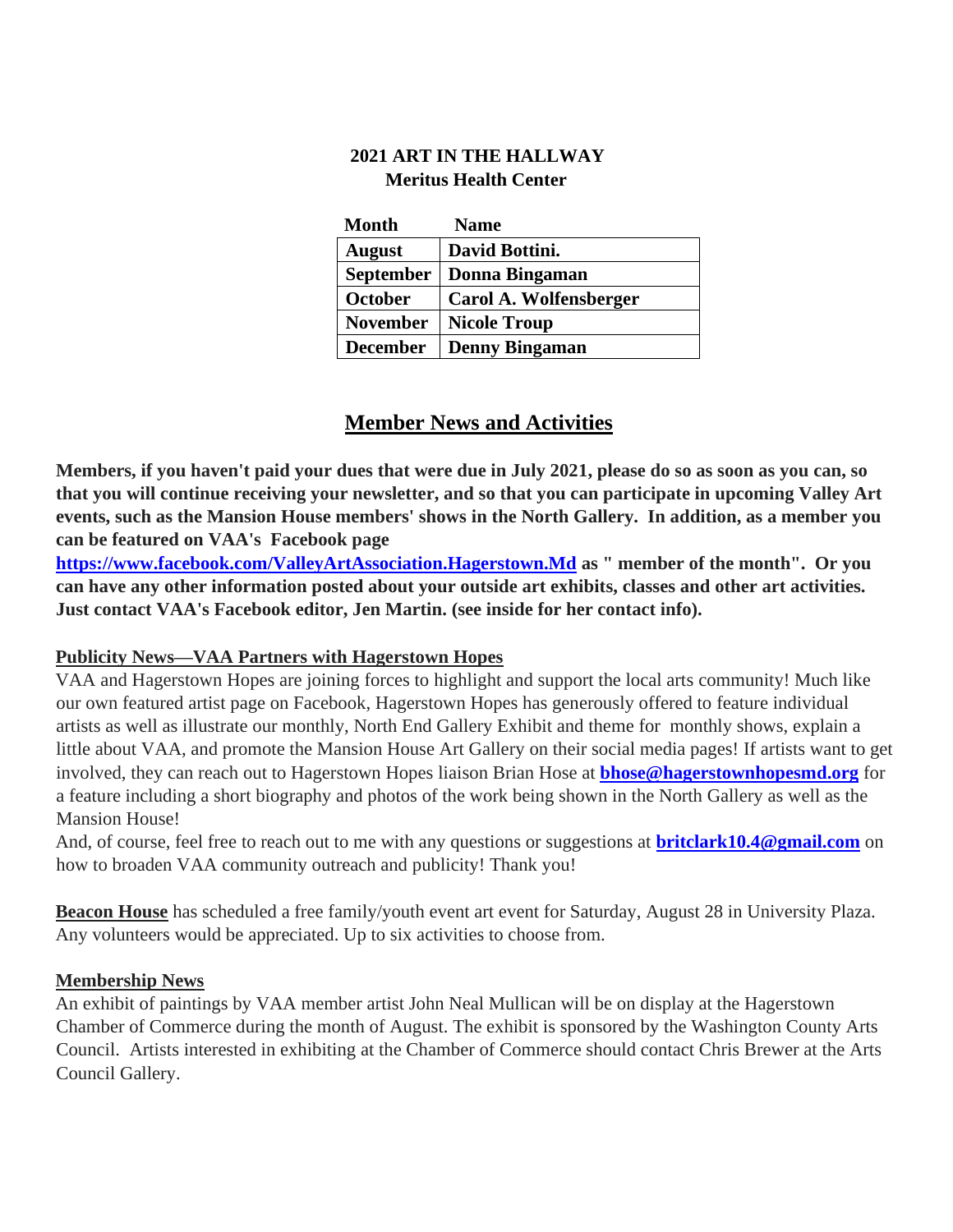## **2021 ART IN THE HALLWAY Meritus Health Center**

| <b>Month</b>    | <b>Name</b>            |
|-----------------|------------------------|
| <b>August</b>   | David Bottini.         |
| September       | Donna Bingaman         |
| October         | Carol A. Wolfensberger |
| <b>November</b> | <b>Nicole Troup</b>    |
| <b>December</b> | <b>Denny Bingaman</b>  |

# **Member News and Activities**

**Members, if you haven't paid your dues that were due in July 2021, please do so as soon as you can, so that you will continue receiving your newsletter, and so that you can participate in upcoming Valley Art events, such as the Mansion House members' shows in the North Gallery. In addition, as a member you can be featured on VAA's Facebook page** 

**https://www.facebook.com/ValleyArtAssociation.Hagerstown.Md as " member of the month". Or you can have any other information posted about your outside art exhibits, classes and other art activities. Just contact VAA's Facebook editor, Jen Martin. (see inside for her contact info).** 

#### **Publicity News—VAA Partners with Hagerstown Hopes**

VAA and Hagerstown Hopes are joining forces to highlight and support the local arts community! Much like our own featured artist page on Facebook, Hagerstown Hopes has generously offered to feature individual artists as well as illustrate our monthly, North End Gallery Exhibit and theme for monthly shows, explain a little about VAA, and promote the Mansion House Art Gallery on their social media pages! If artists want to get involved, they can reach out to Hagerstown Hopes liaison Brian Hose at **bhose@hagerstownhopesmd.org** for a feature including a short biography and photos of the work being shown in the North Gallery as well as the Mansion House!

And, of course, feel free to reach out to me with any questions or suggestions at **britclark10.4@gmail.com** on how to broaden VAA community outreach and publicity! Thank you!

**Beacon House** has scheduled a free family/youth event art event for Saturday, August 28 in University Plaza. Any volunteers would be appreciated. Up to six activities to choose from.

#### **Membership News**

An exhibit of paintings by VAA member artist John Neal Mullican will be on display at the Hagerstown Chamber of Commerce during the month of August. The exhibit is sponsored by the Washington County Arts Council. Artists interested in exhibiting at the Chamber of Commerce should contact Chris Brewer at the Arts Council Gallery.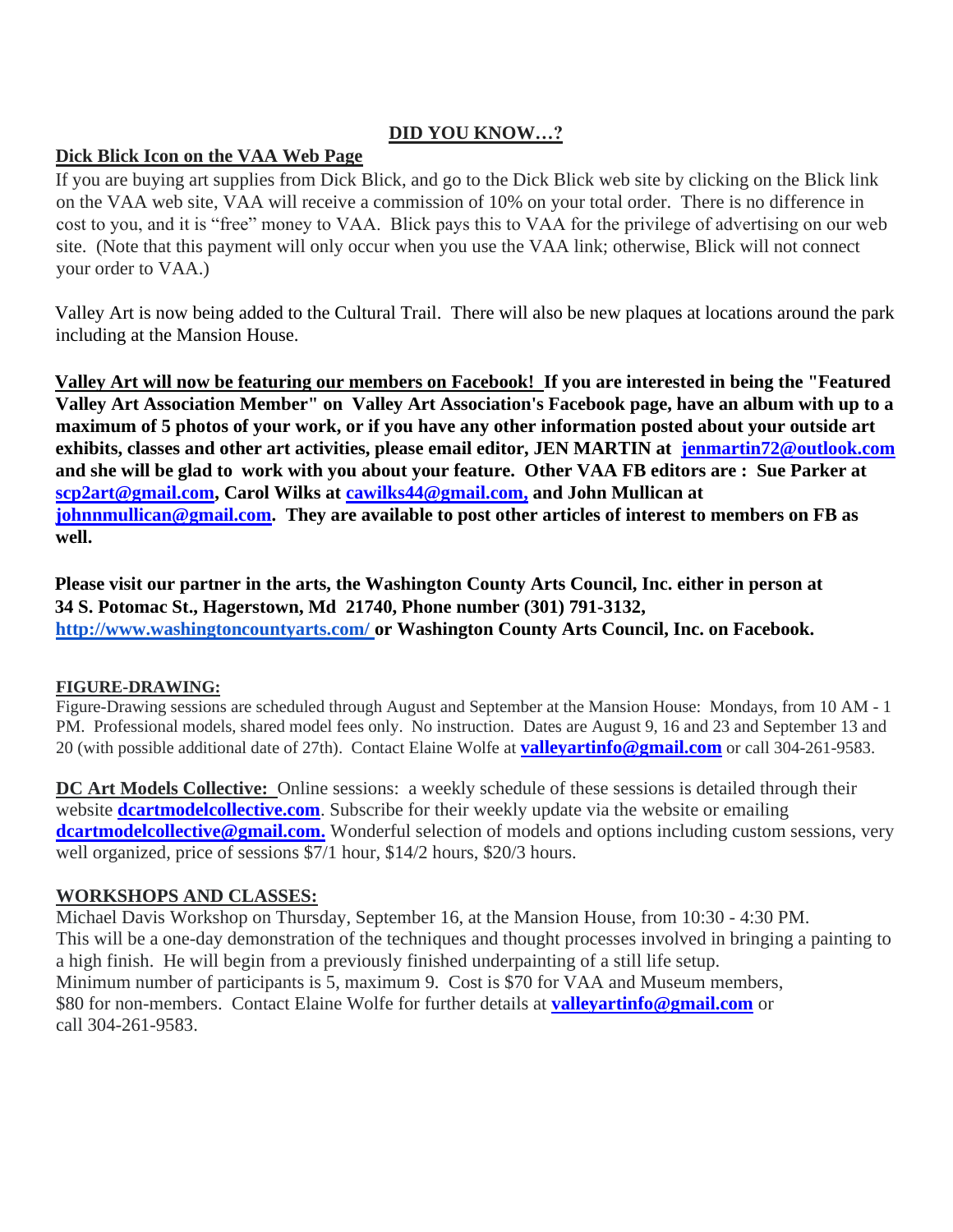## **DID YOU KNOW…?**

#### **Dick Blick Icon on the VAA Web Page**

If you are buying art supplies from Dick Blick, and go to the Dick Blick web site by clicking on the Blick link on the VAA web site, VAA will receive a commission of 10% on your total order. There is no difference in cost to you, and it is "free" money to VAA. Blick pays this to VAA for the privilege of advertising on our web site. (Note that this payment will only occur when you use the VAA link; otherwise, Blick will not connect your order to VAA.)

Valley Art is now being added to the Cultural Trail. There will also be new plaques at locations around the park including at the Mansion House.

**Valley Art will now be featuring our members on Facebook! If you are interested in being the "Featured Valley Art Association Member" on Valley Art Association's Facebook page, have an album with up to a maximum of 5 photos of your work, or if you have any other information posted about your outside art exhibits, classes and other art activities, please email editor, JEN MARTIN at jenmartin72@outlook.com and she will be glad to work with you about your feature. Other VAA FB editors are : Sue Parker at scp2art@gmail.com, Carol Wilks at cawilks44@gmail.com, and John Mullican at johnnmullican@gmail.com. They are available to post other articles of interest to members on FB as well.** 

**Please visit our partner in the arts, the Washington County Arts Council, Inc. either in person at 34 S. Potomac St., Hagerstown, Md 21740, Phone number (301) 791-3132, <http://www.washingtoncountyarts.com/> [o](http://www.washingtoncountyarts.com/)r Washington County Arts Council, Inc. on Facebook.** 

#### **FIGURE-DRAWING:**

Figure-Drawing sessions are scheduled through August and September at the Mansion House: Mondays, from 10 AM - 1 PM. Professional models, shared model fees only. No instruction. Dates are August 9, 16 and 23 and September 13 and 20 (with possible additional date of 27th). Contact Elaine Wolfe at **valleyartinfo@gmail.com** or call 304-261-9583.

**DC Art Models Collective:** Online sessions: a weekly schedule of these sessions is detailed through their website **dcartmodelcollective.com**. Subscribe for their weekly update via the website or emailing **dcartmodelcollective@gmail.com.** Wonderful selection of models and options including custom sessions, very well organized, price of sessions \$7/1 hour, \$14/2 hours, \$20/3 hours.

#### **WORKSHOPS AND CLASSES:**

Michael Davis Workshop on Thursday, September 16, at the Mansion House, from 10:30 - 4:30 PM. This will be a one-day demonstration of the techniques and thought processes involved in bringing a painting to a high finish. He will begin from a previously finished underpainting of a still life setup. Minimum number of participants is 5, maximum 9. Cost is \$70 for VAA and Museum members, \$80 for non-members. Contact Elaine Wolfe for further details at **valleyartinfo@gmail.com** or call 304-261-9583.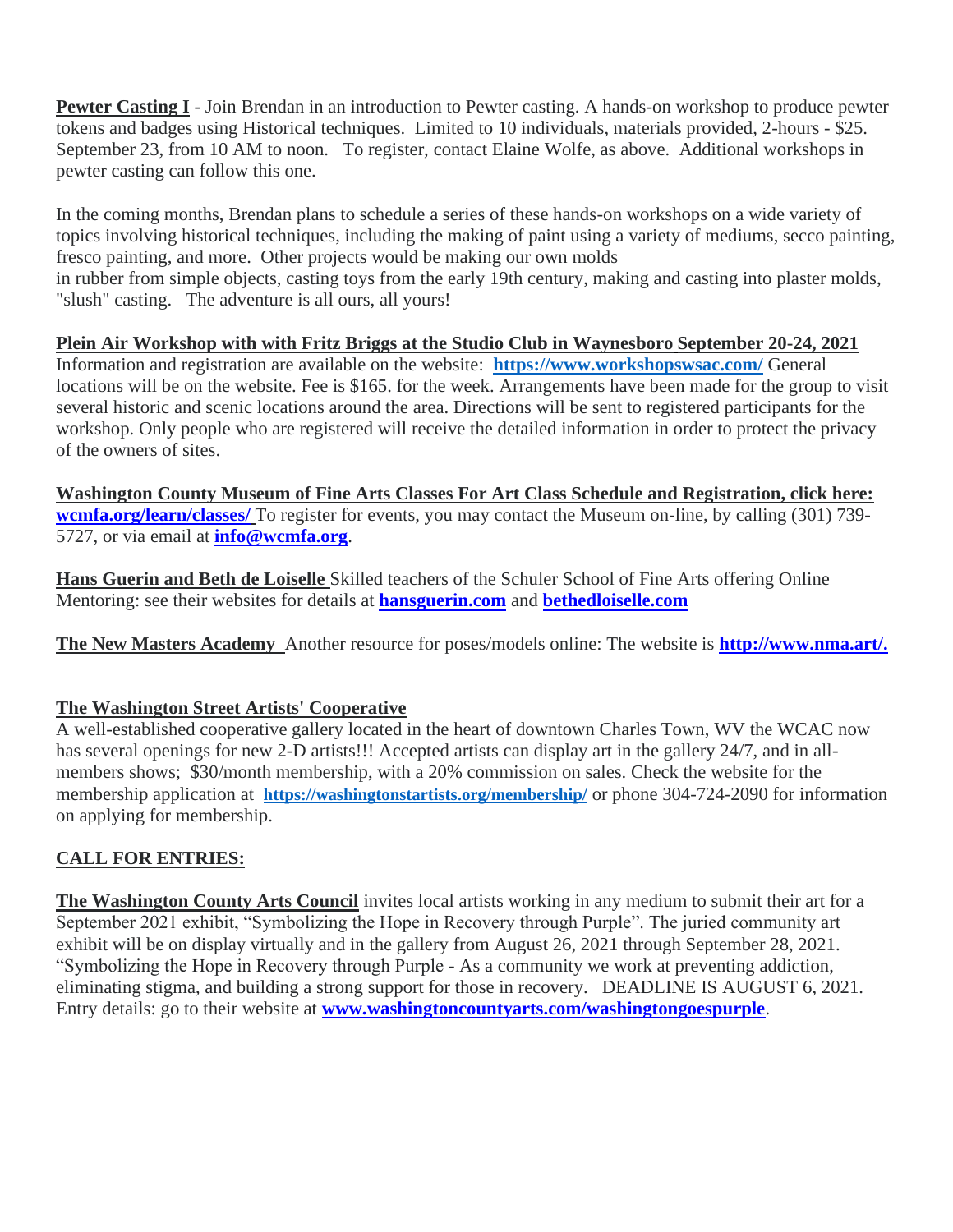**Pewter Casting I** - Join Brendan in an introduction to Pewter casting. A hands-on workshop to produce pewter tokens and badges using Historical techniques. Limited to 10 individuals, materials provided, 2-hours - \$25. September 23, from 10 AM to noon. To register, contact Elaine Wolfe, as above. Additional workshops in pewter casting can follow this one.

In the coming months, Brendan plans to schedule a series of these hands-on workshops on a wide variety of topics involving historical techniques, including the making of paint using a variety of mediums, secco painting, fresco painting, and more. Other projects would be making our own molds in rubber from simple objects, casting toys from the early 19th century, making and casting into plaster molds, "slush" casting. The adventure is all ours, all yours!

#### **Plein Air Workshop with with Fritz Briggs at the Studio Club in Waynesboro September 20-24, 2021**

Information and registration are available on the website: **<https://www.workshopswsac.com/>** General locations will be on the website. Fee is \$165. for the week. Arrangements have been made for the group to visit several historic and scenic locations around the area. Directions will be sent to registered participants for the workshop. Only people who are registered will receive the detailed information in order to protect the privacy of the owners of sites.

**Washington County Museum of Fine Arts Classes For Art Class Schedule and Registration, click here: wcmfa.org/learn/classes/** To register for events, you may contact the Museum on-line, by calling (301) 739- 5727, or via email at **info@wcmfa.org**.

**Hans Guerin and Beth de Loiselle** Skilled teachers of the Schuler School of Fine Arts offering Online Mentoring: see their websites for details at **hansguerin.com** and **bethedloiselle.com**

**The New Masters Academy** Another resource for poses/models online: The website is **http://www.nma.art/.**

# **The Washington Street Artists' Cooperative**

A well-established cooperative gallery located in the heart of downtown Charles Town, WV the WCAC now has several openings for new 2-D artists!!! Accepted artists can display art in the gallery 24/7, and in allmembers shows; \$30/month membership, with a 20% commission on sales. Check the website for the membership application at **https://washingtonstartists.org/membership/** or phone 304-724-2090 for information on applying for membership.

# **CALL FOR ENTRIES:**

**The Washington County Arts Council** invites local artists working in any medium to submit their art for a September 2021 exhibit, "Symbolizing the Hope in Recovery through Purple". The juried community art exhibit will be on display virtually and in the gallery from August 26, 2021 through September 28, 2021. "Symbolizing the Hope in Recovery through Purple - As a community we work at preventing addiction, eliminating stigma, and building a strong support for those in recovery. DEADLINE IS AUGUST 6, 2021. Entry details: go to their website at **www.washingtoncountyarts.com/washingtongoespurple**.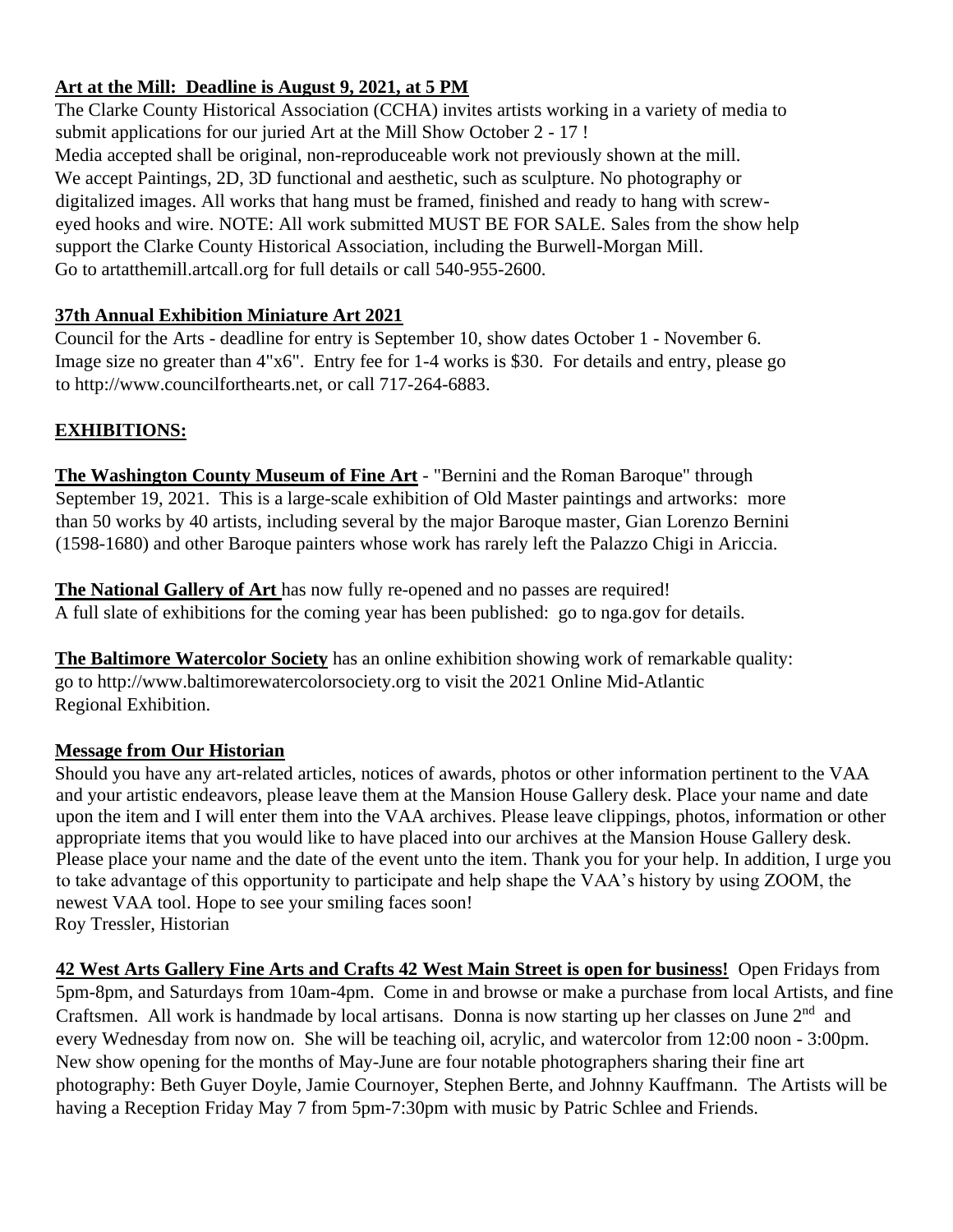## **Art at the Mill: Deadline is August 9, 2021, at 5 PM**

The Clarke County Historical Association (CCHA) invites artists working in a variety of media to submit applications for our juried Art at the Mill Show October 2 - 17 ! Media accepted shall be original, non-reproduceable work not previously shown at the mill. We accept Paintings, 2D, 3D functional and aesthetic, such as sculpture. No photography or digitalized images. All works that hang must be framed, finished and ready to hang with screweyed hooks and wire. NOTE: All work submitted MUST BE FOR SALE. Sales from the show help support the Clarke County Historical Association, including the Burwell-Morgan Mill. Go to artatthemill.artcall.org for full details or call 540-955-2600.

## **37th Annual Exhibition Miniature Art 2021**

Council for the Arts - deadline for entry is September 10, show dates October 1 - November 6. Image size no greater than 4"x6". Entry fee for 1-4 works is \$30. For details and entry, please go to http://www.councilforthearts.net, or call 717-264-6883.

## **EXHIBITIONS:**

**The Washington County Museum of Fine Art** - "Bernini and the Roman Baroque" through September 19, 2021. This is a large-scale exhibition of Old Master paintings and artworks: more than 50 works by 40 artists, including several by the major Baroque master, Gian Lorenzo Bernini (1598-1680) and other Baroque painters whose work has rarely left the Palazzo Chigi in Ariccia.

**The National Gallery of Art** has now fully re-opened and no passes are required! A full slate of exhibitions for the coming year has been published: go to nga.gov for details.

**The Baltimore Watercolor Society** has an online exhibition showing work of remarkable quality: go to http://www.baltimorewatercolorsociety.org to visit the 2021 Online Mid-Atlantic Regional Exhibition.

#### **Message from Our Historian**

Should you have any art-related articles, notices of awards, photos or other information pertinent to the VAA and your artistic endeavors, please leave them at the Mansion House Gallery desk. Place your name and date upon the item and I will enter them into the VAA archives. Please leave clippings, photos, information or other appropriate items that you would like to have placed into our archives at the Mansion House Gallery desk. Please place your name and the date of the event unto the item. Thank you for your help. In addition, I urge you to take advantage of this opportunity to participate and help shape the VAA's history by using ZOOM, the newest VAA tool. Hope to see your smiling faces soon! Roy Tressler, Historian

**42 West Arts Gallery Fine Arts and Crafts 42 West Main Street is open for business!** Open Fridays from 5pm-8pm, and Saturdays from 10am-4pm. Come in and browse or make a purchase from local Artists, and fine Craftsmen. All work is handmade by local artisans. Donna is now starting up her classes on June  $2<sup>nd</sup>$  and every Wednesday from now on. She will be teaching oil, acrylic, and watercolor from 12:00 noon - 3:00pm. New show opening for the months of May-June are four notable photographers sharing their fine art photography: Beth Guyer Doyle, Jamie Cournoyer, Stephen Berte, and Johnny Kauffmann. The Artists will be having a Reception Friday May 7 from 5pm-7:30pm with music by Patric Schlee and Friends.